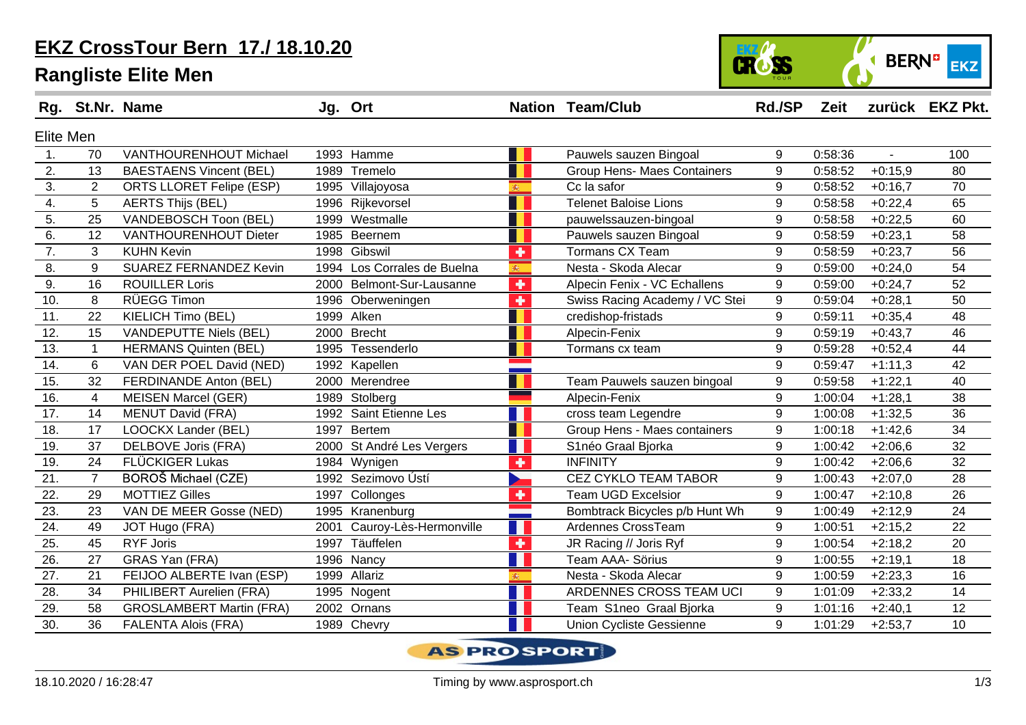### **EKZ CrossTour Bern 17./ 18.10.20**

#### **Rangliste Elite Men**





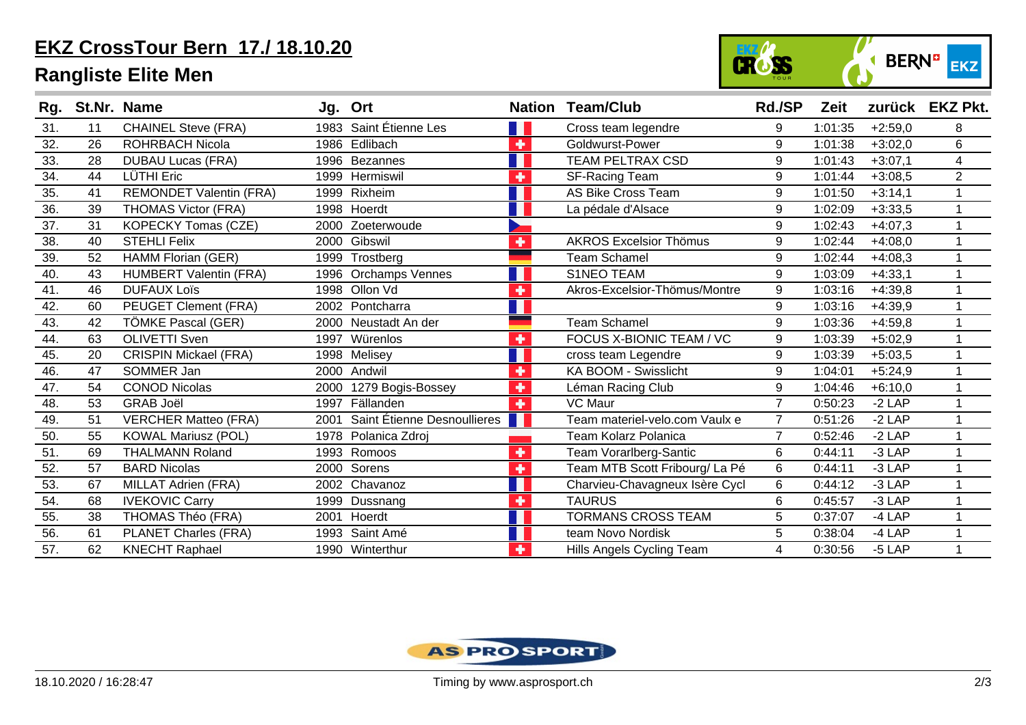# **EKZ CrossTour Bern 17./ 18.10.20**

# **Rangliste Elite Men**



| Rg.               |    | St.Nr. Name                    |      | Jg. Ort                     |   | <b>Nation Team/Club</b>        | <b>Rd./SP</b>  | Zeit    |           | zurück EKZ Pkt. |
|-------------------|----|--------------------------------|------|-----------------------------|---|--------------------------------|----------------|---------|-----------|-----------------|
| 31.               | 11 | <b>CHAINEL Steve (FRA)</b>     |      | 1983 Saint Étienne Les      |   | Cross team legendre            | 9              | 1:01:35 | $+2:59,0$ | 8               |
| 32.               | 26 | <b>ROHRBACH Nicola</b>         | 1986 | Edlibach                    | ٠ | Goldwurst-Power                | 9              | 1:01:38 | $+3:02,0$ | 6               |
| $\overline{33}$ . | 28 | <b>DUBAU Lucas (FRA)</b>       |      | 1996 Bezannes               |   | <b>TEAM PELTRAX CSD</b>        | 9              | 1:01:43 | $+3:07,1$ | 4               |
| 34.               | 44 | LÜTHI Eric                     | 1999 | Hermiswil                   | ٠ | <b>SF-Racing Team</b>          | 9              | 1:01:44 | $+3:08.5$ | $\overline{2}$  |
| $\overline{35}$ . | 41 | <b>REMONDET Valentin (FRA)</b> | 1999 | Rixheim                     |   | <b>AS Bike Cross Team</b>      | 9              | 1:01:50 | $+3:14,1$ |                 |
| 36.               | 39 | <b>THOMAS Victor (FRA)</b>     | 1998 | Hoerdt                      |   | La pédale d'Alsace             | 9              | 1:02:09 | $+3:33,5$ |                 |
| $\overline{37}$ . | 31 | <b>KOPECKY Tomas (CZE)</b>     | 2000 | Zoeterwoude                 |   |                                | 9              | 1:02:43 | $+4:07,3$ |                 |
| 38.               | 40 | <b>STEHLI Felix</b>            | 2000 | Gibswil                     | ٠ | <b>AKROS Excelsior Thömus</b>  | 9              | 1:02:44 | $+4:08,0$ |                 |
| 39.               | 52 | HAMM Florian (GER)             | 1999 | Trostberg                   |   | <b>Team Schamel</b>            | 9              | 1:02:44 | $+4:08,3$ |                 |
| 40.               | 43 | <b>HUMBERT Valentin (FRA)</b>  | 1996 | <b>Orchamps Vennes</b>      |   | S1NEO TEAM                     | 9              | 1:03:09 | $+4:33,1$ |                 |
| 41.               | 46 | <b>DUFAUX Loïs</b>             |      | 1998 Ollon Vd               | ╋ | Akros-Excelsior-Thömus/Montre  | 9              | 1:03:16 | $+4:39,8$ |                 |
| 42.               | 60 | PEUGET Clement (FRA)           | 2002 | Pontcharra                  |   |                                | 9              | 1:03:16 | $+4:39,9$ |                 |
| 43.               | 42 | TÖMKE Pascal (GER)             |      | 2000 Neustadt An der        |   | <b>Team Schamel</b>            | 9              | 1:03:36 | $+4:59,8$ |                 |
| 44.               | 63 | <b>OLIVETTI Sven</b>           |      | 1997 Würenlos               | ٠ | FOCUS X-BIONIC TEAM / VC       | 9              | 1:03:39 | $+5:02,9$ |                 |
| 45.               | 20 | <b>CRISPIN Mickael (FRA)</b>   |      | 1998 Melisey                |   | cross team Legendre            | 9              | 1:03:39 | $+5:03,5$ |                 |
| 46.               | 47 | SOMMER Jan                     |      | 2000 Andwil                 | ٠ | KA BOOM - Swisslicht           | 9              | 1:04:01 | $+5:24,9$ |                 |
| 47.               | 54 | <b>CONOD Nicolas</b>           |      | 2000 1279 Bogis-Bossey      | ٠ | Léman Racing Club              | 9              | 1:04:46 | $+6:10,0$ |                 |
| 48.               | 53 | <b>GRAB Joël</b>               | 1997 | Fällanden                   | ٠ | <b>VC Maur</b>                 | $\overline{7}$ | 0:50:23 | $-2$ LAP  |                 |
| 49.               | 51 | <b>VERCHER Matteo (FRA)</b>    | 2001 | Saint Étienne Desnoullieres |   | Team materiel-velo.com Vaulx e | $\overline{7}$ | 0:51:26 | $-2$ LAP  |                 |
| 50.               | 55 | <b>KOWAL Mariusz (POL)</b>     |      | 1978 Polanica Zdroj         |   | <b>Team Kolarz Polanica</b>    | $\overline{7}$ | 0:52:46 | $-2$ LAP  |                 |
| 51.               | 69 | <b>THALMANN Roland</b>         | 1993 | Romoos                      | ٠ | Team Vorarlberg-Santic         | 6              | 0:44:11 | $-3$ LAP  |                 |
| 52.               | 57 | <b>BARD Nicolas</b>            | 2000 | Sorens                      | ٠ | Team MTB Scott Fribourg/ La Pé | 6              | 0:44:11 | $-3$ LAP  |                 |
| 53.               | 67 | <b>MILLAT Adrien (FRA)</b>     |      | 2002 Chavanoz               |   | Charvieu-Chavagneux Isère Cycl | 6              | 0:44:12 | $-3$ LAP  |                 |
| 54.               | 68 | <b>IVEKOVIC Carry</b>          | 1999 | Dussnang                    | ٠ | <b>TAURUS</b>                  | 6              | 0:45:57 | $-3$ LAP  |                 |
| 55.               | 38 | THOMAS Théo (FRA)              | 2001 | Hoerdt                      |   | <b>TORMANS CROSS TEAM</b>      | 5              | 0:37:07 | $-4$ LAP  |                 |
| 56.               | 61 | <b>PLANET Charles (FRA)</b>    | 1993 | Saint Amé                   |   | team Novo Nordisk              | 5              | 0:38:04 | $-4$ LAP  |                 |
| 57.               | 62 | <b>KNECHT Raphael</b>          |      | 1990 Winterthur             | ٠ | Hills Angels Cycling Team      | 4              | 0:30:56 | $-5$ LAP  |                 |